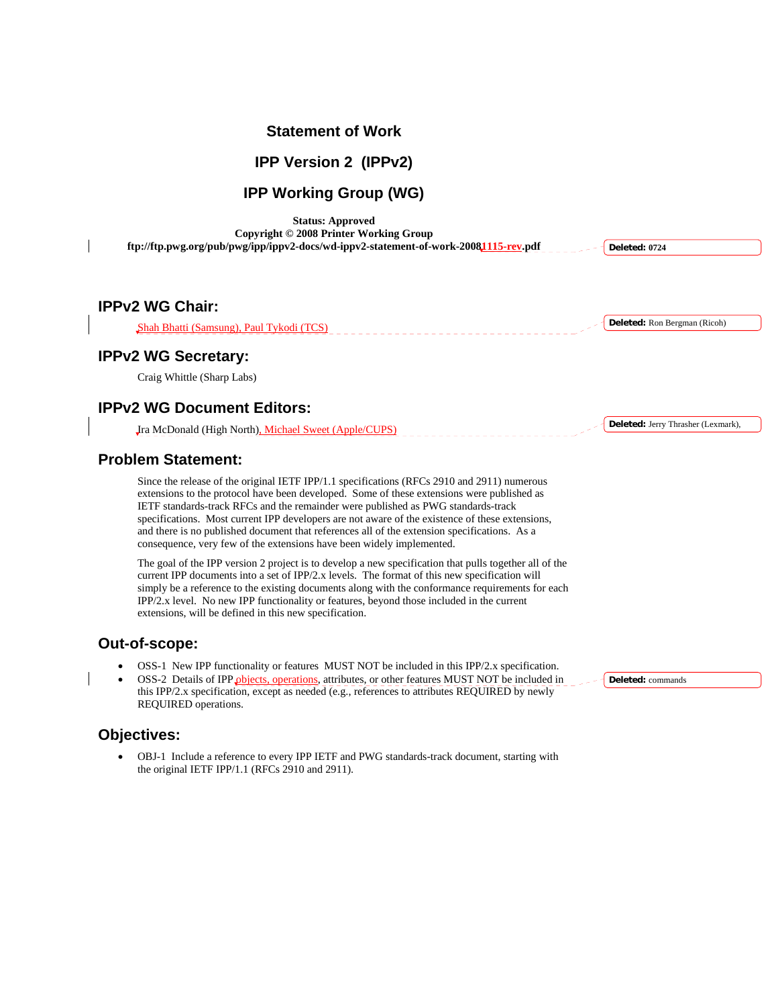### **Statement of Work**

### **IPP Version 2 (IPPv2)**

# **IPP Working Group (WG)**

**Status: Approved Copyright © 2008 Printer Working Group ftp://ftp.pwg.org/pub/pwg/ipp/ippv2-docs/wd-ippv2-statement-of-work-20081115-rev.pdf** 

**IPPv2 WG Chair:** 

Shah Bhatti (Samsung), Paul Tykodi (TCS)

## **IPPv2 WG Secretary:**

Craig Whittle (Sharp Labs)

## **IPPv2 WG Document Editors:**

Ira McDonald (High North), Michael Sweet (Apple/CUPS)

### **Problem Statement:**

Since the release of the original IETF IPP/1.1 specifications (RFCs 2910 and 2911) numerous extensions to the protocol have been developed. Some of these extensions were published as IETF standards-track RFCs and the remainder were published as PWG standards-track specifications. Most current IPP developers are not aware of the existence of these extensions, and there is no published document that references all of the extension specifications. As a consequence, very few of the extensions have been widely implemented.

The goal of the IPP version 2 project is to develop a new specification that pulls together all of the current IPP documents into a set of IPP/2.x levels. The format of this new specification will simply be a reference to the existing documents along with the conformance requirements for each IPP/2.x level. No new IPP functionality or features, beyond those included in the current extensions, will be defined in this new specification.

### **Out-of-scope:**

- OSS-1 New IPP functionality or features MUST NOT be included in this IPP/2.x specification.
- OSS-2 Details of IPP objects, operations, attributes, or other features MUST NOT be included in this IPP/2.x specification, except as needed (e.g., references to attributes REQUIRED by newly REQUIRED operations.

### **Objectives:**

• OBJ-1 Include a reference to every IPP IETF and PWG standards-track document, starting with the original IETF IPP/1.1 (RFCs 2910 and 2911).

**Deleted:** Ron Bergman (Ricoh)

**Deleted: 0724**

**Deleted:** Jerry Thrasher (Lexmark),

**Deleted:** commands